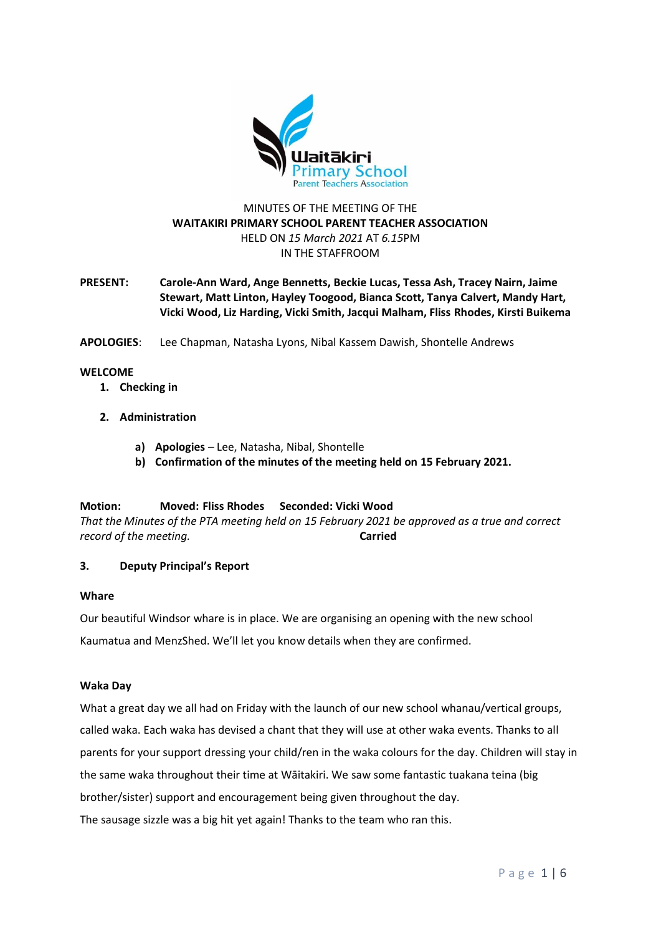

# MINUTES OF THE MEETING OF THE **WAITAKIRI PRIMARY SCHOOL PARENT TEACHER ASSOCIATION** HELD ON *15 March 2021* AT *6.15*PM IN THE STAFFROOM

**PRESENT: Carole-Ann Ward, Ange Bennetts, Beckie Lucas, Tessa Ash, Tracey Nairn, Jaime Stewart, Matt Linton, Hayley Toogood, Bianca Scott, Tanya Calvert, Mandy Hart, Vicki Wood, Liz Harding, Vicki Smith, Jacqui Malham, Fliss Rhodes, Kirsti Buikema**

**APOLOGIES**: Lee Chapman, Natasha Lyons, Nibal Kassem Dawish, Shontelle Andrews

# **WELCOME**

- **1. Checking in**
- **2. Administration**
	- **a) Apologies** Lee, Natasha, Nibal, Shontelle
	- **b) Confirmation of the minutes of the meeting held on 15 February 2021.**

# **Motion: Moved: Fliss Rhodes Seconded: Vicki Wood**

*That the Minutes of the PTA meeting held on 15 February 2021 be approved as a true and correct record of the meeting.* **Carried** 

# **3. Deputy Principal's Report**

## **Whare**

Our beautiful Windsor whare is in place. We are organising an opening with the new school Kaumatua and MenzShed. We'll let you know details when they are confirmed.

## **Waka Day**

What a great day we all had on Friday with the launch of our new school whanau/vertical groups, called waka. Each waka has devised a chant that they will use at other waka events. Thanks to all parents for your support dressing your child/ren in the waka colours for the day. Children will stay in the same waka throughout their time at Wāitakiri. We saw some fantastic tuakana teina (big brother/sister) support and encouragement being given throughout the day. The sausage sizzle was a big hit yet again! Thanks to the team who ran this.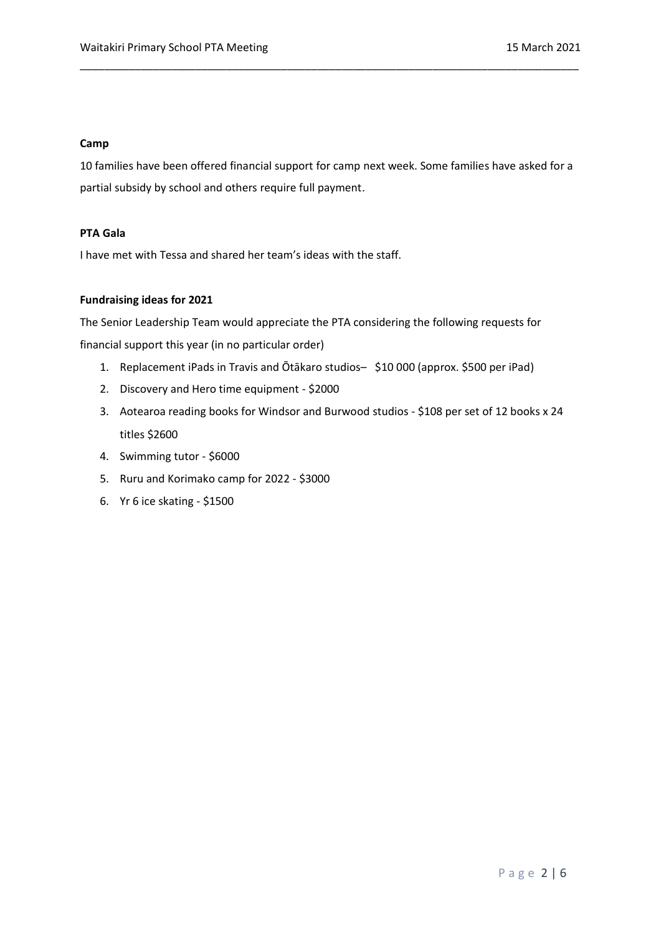## **Camp**

10 families have been offered financial support for camp next week. Some families have asked for a partial subsidy by school and others require full payment.

\_\_\_\_\_\_\_\_\_\_\_\_\_\_\_\_\_\_\_\_\_\_\_\_\_\_\_\_\_\_\_\_\_\_\_\_\_\_\_\_\_\_\_\_\_\_\_\_\_\_\_\_\_\_\_\_\_\_\_\_\_\_\_\_\_\_\_\_\_\_\_\_\_\_\_\_\_\_\_\_\_\_

## **PTA Gala**

I have met with Tessa and shared her team's ideas with the staff.

## **Fundraising ideas for 2021**

The Senior Leadership Team would appreciate the PTA considering the following requests for financial support this year (in no particular order)

- 1. Replacement iPads in Travis and Ōtākaro studios– \$10 000 (approx. \$500 per iPad)
- 2. Discovery and Hero time equipment \$2000
- 3. Aotearoa reading books for Windsor and Burwood studios \$108 per set of 12 books x 24 titles \$2600
- 4. Swimming tutor \$6000
- 5. Ruru and Korimako camp for 2022 \$3000
- 6. Yr 6 ice skating \$1500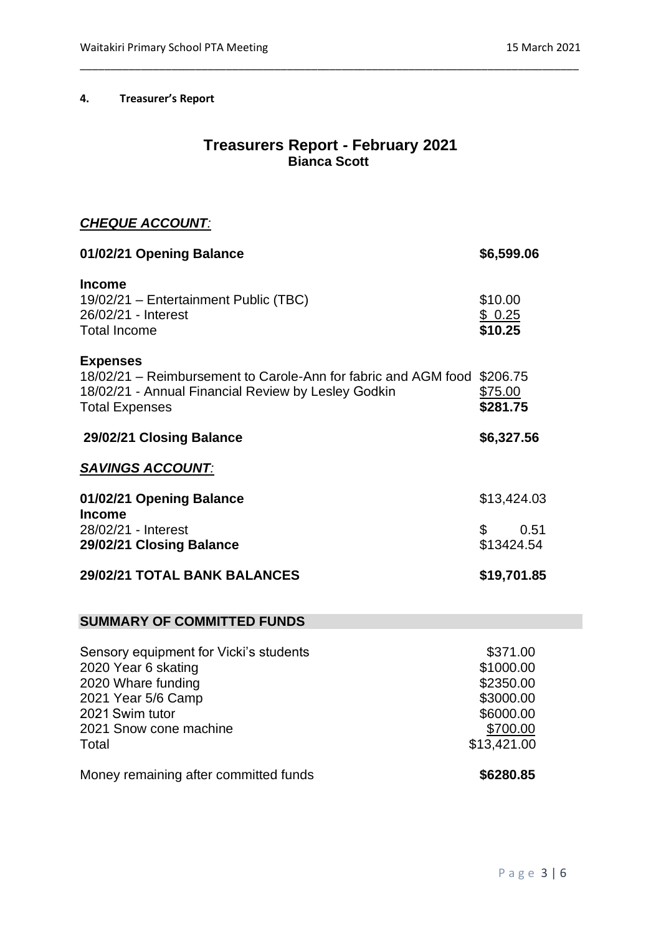# **4. Treasurer's Report**

# **Treasurers Report - February 2021 Bianca Scott**

\_\_\_\_\_\_\_\_\_\_\_\_\_\_\_\_\_\_\_\_\_\_\_\_\_\_\_\_\_\_\_\_\_\_\_\_\_\_\_\_\_\_\_\_\_\_\_\_\_\_\_\_\_\_\_\_\_\_\_\_\_\_\_\_\_\_\_\_\_\_\_\_\_\_\_\_\_\_\_\_\_\_

# *CHEQUE ACCOUNT:*

| 01/02/21 Opening Balance                                                                                                                                                   | \$6,599.06                                                                              |
|----------------------------------------------------------------------------------------------------------------------------------------------------------------------------|-----------------------------------------------------------------------------------------|
| <b>Income</b><br>19/02/21 - Entertainment Public (TBC)<br>26/02/21 - Interest<br><b>Total Income</b>                                                                       | \$10.00<br>\$0.25<br>\$10.25                                                            |
| <b>Expenses</b><br>18/02/21 - Reimbursement to Carole-Ann for fabric and AGM food \$206.75<br>18/02/21 - Annual Financial Review by Lesley Godkin<br><b>Total Expenses</b> | \$75.00<br>\$281.75                                                                     |
| 29/02/21 Closing Balance                                                                                                                                                   | \$6,327.56                                                                              |
| <b>SAVINGS ACCOUNT:</b>                                                                                                                                                    |                                                                                         |
| 01/02/21 Opening Balance                                                                                                                                                   | \$13,424.03                                                                             |
| <b>Income</b><br>28/02/21 - Interest<br>29/02/21 Closing Balance                                                                                                           | \$<br>0.51<br>\$13424.54                                                                |
| 29/02/21 TOTAL BANK BALANCES                                                                                                                                               | \$19,701.85                                                                             |
|                                                                                                                                                                            |                                                                                         |
| <b>SUMMARY OF COMMITTED FUNDS</b>                                                                                                                                          |                                                                                         |
| Sensory equipment for Vicki's students<br>2020 Year 6 skating<br>2020 Whare funding<br>2021 Year 5/6 Camp<br>2021 Swim tutor<br>2021 Snow cone machine<br>Total            | \$371.00<br>\$1000.00<br>\$2350.00<br>\$3000.00<br>\$6000.00<br>\$700.00<br>\$13,421.00 |
| Money remaining after committed funds                                                                                                                                      | \$6280.85                                                                               |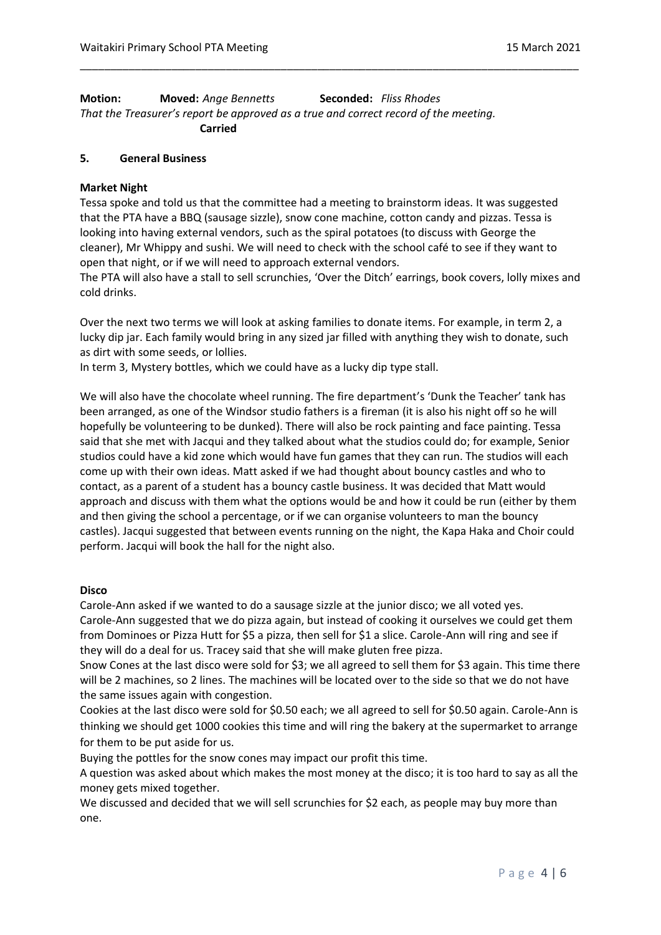**Motion: Moved:** *Ange Bennetts* **Seconded:** *Fliss Rhodes That the Treasurer's report be approved as a true and correct record of the meeting.*  **Carried**

## **5. General Business**

#### **Market Night**

Tessa spoke and told us that the committee had a meeting to brainstorm ideas. It was suggested that the PTA have a BBQ (sausage sizzle), snow cone machine, cotton candy and pizzas. Tessa is looking into having external vendors, such as the spiral potatoes (to discuss with George the cleaner), Mr Whippy and sushi. We will need to check with the school café to see if they want to open that night, or if we will need to approach external vendors.

\_\_\_\_\_\_\_\_\_\_\_\_\_\_\_\_\_\_\_\_\_\_\_\_\_\_\_\_\_\_\_\_\_\_\_\_\_\_\_\_\_\_\_\_\_\_\_\_\_\_\_\_\_\_\_\_\_\_\_\_\_\_\_\_\_\_\_\_\_\_\_\_\_\_\_\_\_\_\_\_\_\_

The PTA will also have a stall to sell scrunchies, 'Over the Ditch' earrings, book covers, lolly mixes and cold drinks.

Over the next two terms we will look at asking families to donate items. For example, in term 2, a lucky dip jar. Each family would bring in any sized jar filled with anything they wish to donate, such as dirt with some seeds, or lollies.

In term 3, Mystery bottles, which we could have as a lucky dip type stall.

We will also have the chocolate wheel running. The fire department's 'Dunk the Teacher' tank has been arranged, as one of the Windsor studio fathers is a fireman (it is also his night off so he will hopefully be volunteering to be dunked). There will also be rock painting and face painting. Tessa said that she met with Jacqui and they talked about what the studios could do; for example, Senior studios could have a kid zone which would have fun games that they can run. The studios will each come up with their own ideas. Matt asked if we had thought about bouncy castles and who to contact, as a parent of a student has a bouncy castle business. It was decided that Matt would approach and discuss with them what the options would be and how it could be run (either by them and then giving the school a percentage, or if we can organise volunteers to man the bouncy castles). Jacqui suggested that between events running on the night, the Kapa Haka and Choir could perform. Jacqui will book the hall for the night also.

#### **Disco**

Carole-Ann asked if we wanted to do a sausage sizzle at the junior disco; we all voted yes. Carole-Ann suggested that we do pizza again, but instead of cooking it ourselves we could get them from Dominoes or Pizza Hutt for \$5 a pizza, then sell for \$1 a slice. Carole-Ann will ring and see if they will do a deal for us. Tracey said that she will make gluten free pizza.

Snow Cones at the last disco were sold for \$3; we all agreed to sell them for \$3 again. This time there will be 2 machines, so 2 lines. The machines will be located over to the side so that we do not have the same issues again with congestion.

Cookies at the last disco were sold for \$0.50 each; we all agreed to sell for \$0.50 again. Carole-Ann is thinking we should get 1000 cookies this time and will ring the bakery at the supermarket to arrange for them to be put aside for us.

Buying the pottles for the snow cones may impact our profit this time.

A question was asked about which makes the most money at the disco; it is too hard to say as all the money gets mixed together.

We discussed and decided that we will sell scrunchies for \$2 each, as people may buy more than one.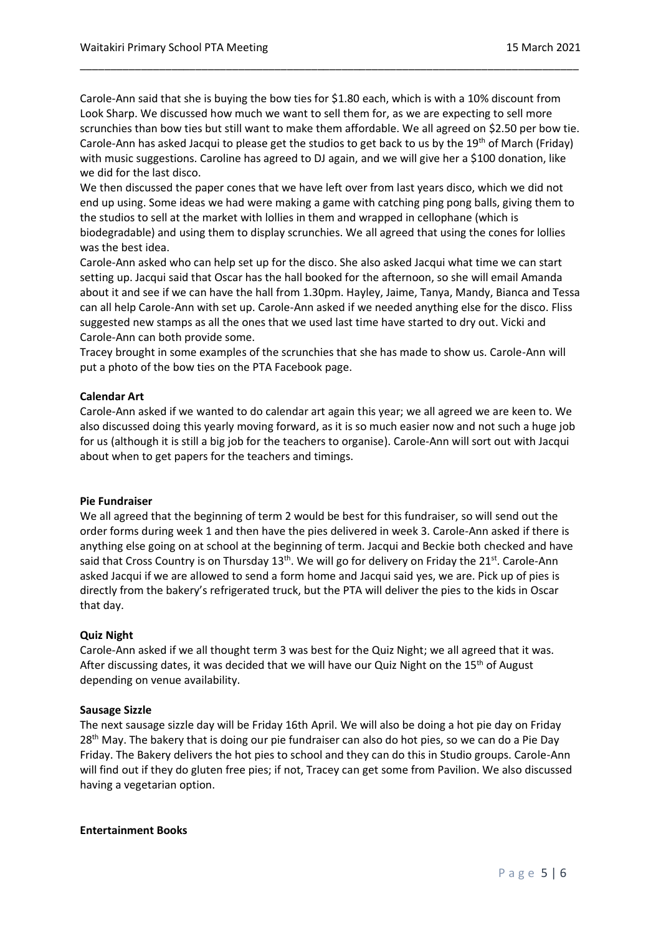Carole-Ann said that she is buying the bow ties for \$1.80 each, which is with a 10% discount from Look Sharp. We discussed how much we want to sell them for, as we are expecting to sell more scrunchies than bow ties but still want to make them affordable. We all agreed on \$2.50 per bow tie. Carole-Ann has asked Jacqui to please get the studios to get back to us by the 19<sup>th</sup> of March (Friday) with music suggestions. Caroline has agreed to DJ again, and we will give her a \$100 donation, like we did for the last disco.

\_\_\_\_\_\_\_\_\_\_\_\_\_\_\_\_\_\_\_\_\_\_\_\_\_\_\_\_\_\_\_\_\_\_\_\_\_\_\_\_\_\_\_\_\_\_\_\_\_\_\_\_\_\_\_\_\_\_\_\_\_\_\_\_\_\_\_\_\_\_\_\_\_\_\_\_\_\_\_\_\_\_

We then discussed the paper cones that we have left over from last years disco, which we did not end up using. Some ideas we had were making a game with catching ping pong balls, giving them to the studios to sell at the market with lollies in them and wrapped in cellophane (which is biodegradable) and using them to display scrunchies. We all agreed that using the cones for lollies was the best idea.

Carole-Ann asked who can help set up for the disco. She also asked Jacqui what time we can start setting up. Jacqui said that Oscar has the hall booked for the afternoon, so she will email Amanda about it and see if we can have the hall from 1.30pm. Hayley, Jaime, Tanya, Mandy, Bianca and Tessa can all help Carole-Ann with set up. Carole-Ann asked if we needed anything else for the disco. Fliss suggested new stamps as all the ones that we used last time have started to dry out. Vicki and Carole-Ann can both provide some.

Tracey brought in some examples of the scrunchies that she has made to show us. Carole-Ann will put a photo of the bow ties on the PTA Facebook page.

#### **Calendar Art**

Carole-Ann asked if we wanted to do calendar art again this year; we all agreed we are keen to. We also discussed doing this yearly moving forward, as it is so much easier now and not such a huge job for us (although it is still a big job for the teachers to organise). Carole-Ann will sort out with Jacqui about when to get papers for the teachers and timings.

#### **Pie Fundraiser**

We all agreed that the beginning of term 2 would be best for this fundraiser, so will send out the order forms during week 1 and then have the pies delivered in week 3. Carole-Ann asked if there is anything else going on at school at the beginning of term. Jacqui and Beckie both checked and have said that Cross Country is on Thursday 13<sup>th</sup>. We will go for delivery on Friday the 21<sup>st</sup>. Carole-Ann asked Jacqui if we are allowed to send a form home and Jacqui said yes, we are. Pick up of pies is directly from the bakery's refrigerated truck, but the PTA will deliver the pies to the kids in Oscar that day.

#### **Quiz Night**

Carole-Ann asked if we all thought term 3 was best for the Quiz Night; we all agreed that it was. After discussing dates, it was decided that we will have our Quiz Night on the 15<sup>th</sup> of August depending on venue availability.

#### **Sausage Sizzle**

The next sausage sizzle day will be Friday 16th April. We will also be doing a hot pie day on Friday 28<sup>th</sup> May. The bakery that is doing our pie fundraiser can also do hot pies, so we can do a Pie Day Friday. The Bakery delivers the hot pies to school and they can do this in Studio groups. Carole-Ann will find out if they do gluten free pies; if not, Tracey can get some from Pavilion. We also discussed having a vegetarian option.

#### **Entertainment Books**